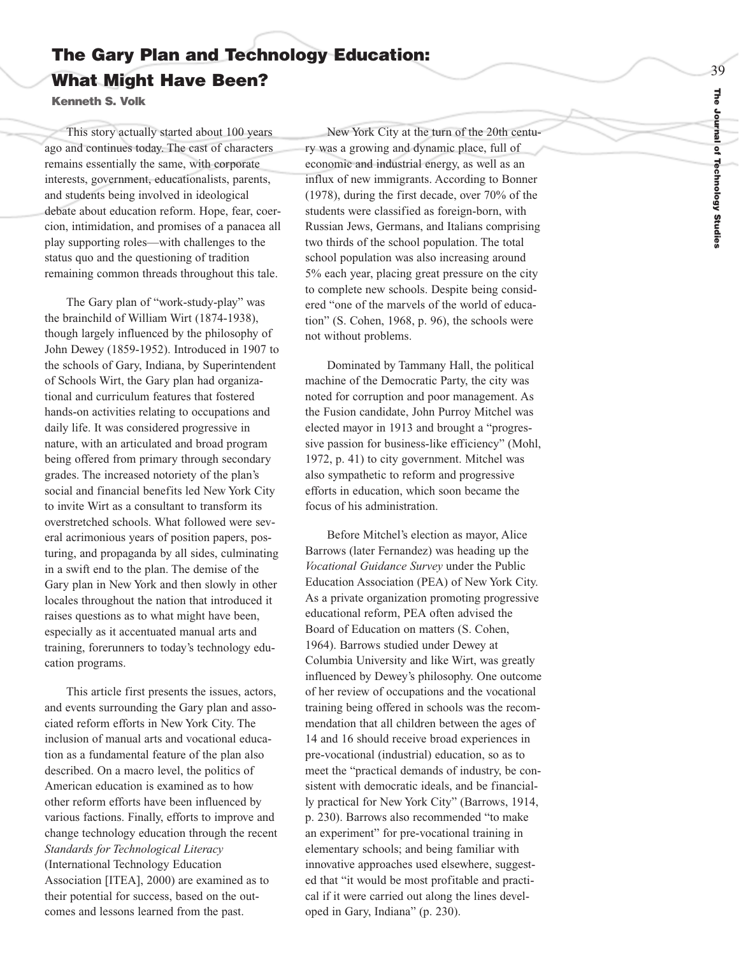# **The Gary Plan and Technology Education: What Might Have Been?**

**Kenneth S. Volk** 

This story actually started about 100 years ago and continues today. The cast of characters remains essentially the same, with corporate interests, government, educationalists, parents, and students being involved in ideological debate about education reform. Hope, fear, coercion, intimidation, and promises of a panacea all play supporting roles—with challenges to the status quo and the questioning of tradition remaining common threads throughout this tale.

The Gary plan of "work-study-play" was the brainchild of William Wirt (1874-1938), though largely influenced by the philosophy of John Dewey (1859-1952). Introduced in 1907 to the schools of Gary, Indiana, by Superintendent of Schools Wirt, the Gary plan had organizational and curriculum features that fostered hands-on activities relating to occupations and daily life. It was considered progressive in nature, with an articulated and broad program being offered from primary through secondar y grades. The increased notoriety of the plan's social and financial benefits led New York City to invite Wirt as a consultant to transform its overstretched schools. What followed were several acrimonious years of position papers, posturing, and propaganda by all sides, culminating in a swift end to the plan. The demise of the Gary plan in New York and then slowly in other locales throughout the nation that introduced it raises questions as to what might have been, especially as it accentuated manual arts and training, forerunners to today's technology education programs.

This article first presents the issues, actors, and events surrounding the Gary plan and associated reform efforts in New York City. The inclusion of manual arts and vocational education as a fundamental feature of the plan also described. On a macro level, the politics of American education is examined as to ho w other reform efforts have been influenced by various factions. Finally, efforts to improve and change technology education through the recent *Standards for Technological Literacy* (International Technology Education Association [ITEA], 2000) are examined as to their potential for success, based on the outcomes and lessons learned from the past.

New York City at the turn of the 20th century was a growing and dynamic place, full of economic and industrial energy, as well as an influx of new immigrants. According to Bonner (1978), during the first decade, over 70% of the students were classified as foreign-born, with Russian Jews, Germans, and Italians comprising two thirds of the school population. The total school population was also increasing around 5% each year, placing great pressure on the city to complete new schools. Despite being considered "one of the marvels of the world of education" (S. Cohen, 1968, p. 96), the schools were not without problems.

Dominated by Tammany Hall, the political machine of the Democratic Party, the city was noted for cor ruption and poor management. As the Fusion candidate, John Purroy Mitchel was elected mayor in 1913 and brought a "progressive passion for business-like efficiency" (Mohl, 1972, p. 41) to city government. Mitchel was also sympathetic to reform and progressive efforts in education, which soon became the focus of his administration.

Before Mitchel's election as mayor, Alice Barrows (later Fernandez) was heading up the *Vocational Guidance Survey* under the Public Education Association (PEA) of New York City. As a private organization promoting progressive educational reform, PEA often advised the Board of Education on matters (S. Cohen, 1964). Barrows studied under Dewey at Columbia University and like Wirt, was greatly influenced by Dewey's philosophy. One outcome of her review of occupations and the vocational training being offered in schools was the recommendation that all children between the ages of 14 and 16 should receive broad experiences in pre-vocational (industrial) education, so as to meet the "practical demands of industry, be consistent with democratic ideals, and be financially practical for New York City" (Barrows, 1914, p. 230). Barrows also recommended "to make an experiment" for pre-vocational training in elementary schools; and being familiar with innovative approaches used elsewhere, suggested that "it would be most profitable and practical if it were carried out along the lines developed in Gary, Indiana" (p. 230).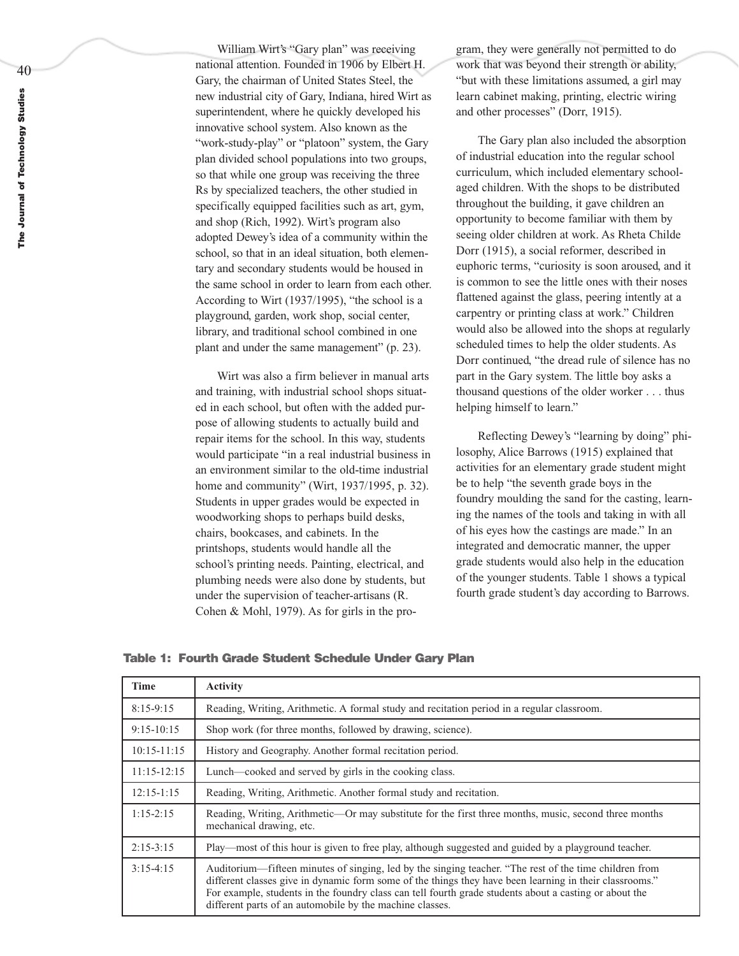William Wirt's "Gary plan" was receiving national attention. Founded in 1906 by Elbert H. Gary, the chairman of United States Steel, the new industrial city of Gary, Indiana, hired Wirt as superintendent, where he quickly developed his innovative school system. Also known as the "work-study-play" or "platoon" system, the Gary plan divided school populations into two groups, so that while one group was receiving the three Rs by specialized teachers, the other studied in specifically equipped facilities such as art, gym, and shop (Rich, 1992). Wirt's program also adopted Dewey's idea of a community within the school, so that in an ideal situation, both elementary and secondary students would be housed in the same school in order to learn from each other. According to Wirt (1937/1995), "the school is a playground, garden, work shop, social center, library, and traditional school combined in one plant and under the same management" (p. 23).

Wirt was also a firm believer in manual arts and training, with industrial school shops situated in each school, but often with the added purpose of allowing students to actually build and repair items for the school. In this way, students would participate "in a real industrial business in an environment similar to the old-time industrial home and community" (Wirt, 1937/1995, p. 32). Students in upper grades would be expected in woodworking shops to perhaps build desks, chairs, bookcases, and cabinets. In the printshops, students would handle all the school's printing needs. Painting, electrical, and plumbing needs were also done by students, but under the supervision of teacher-artisans (R. Cohen & Mohl, 1979). As for girls in the program, they were generally not permitted to do work that was beyond their strength or ability, "but with these limitations assumed, a girl may learn cabinet making, printing, electric wiring and other processes" (Dorr, 1915).

The Gary plan also included the absorption of industrial education into the regular school curriculum, which included elementary schoolaged children. With the shops to be distributed throughout the building, it gave children an opportunity to become familiar with them by seeing older children at work. As Rheta Childe Dorr (1915), a social reformer, described in euphoric terms, "curiosity is soon aroused, and it is common to see the little ones with their noses flattened against the glass, peering intently at a carpentry or printing class at work." Children would also be allowed into the shops at regularly scheduled times to help the older students. As Dorr continued, "the dread rule of silence has no part in the Gary system. The little boy asks a thousand questions of the older worker . . . thus helping himself to learn."

Reflecting Dewey's "learning by doing" philosophy, Alice Barrows (1915) explained that activities for an elementary grade student might be to help "the seventh grade boys in the foundry moulding the sand for the casting, learning the names of the tools and taking in with all of his eyes how the castings are made." In an integrated and democratic manner, the upper grade students would also help in the education of the younger students. Table 1 shows a typical fourth grade student's day according to Barrows.

**Table 1: Fourth Grade Student Schedule Under Gary Plan**

| <b>Time</b>     | <b>Activity</b>                                                                                                                                                                                                                                                                                                                                                                         |
|-----------------|-----------------------------------------------------------------------------------------------------------------------------------------------------------------------------------------------------------------------------------------------------------------------------------------------------------------------------------------------------------------------------------------|
| $8:15-9:15$     | Reading, Writing, Arithmetic. A formal study and recitation period in a regular classroom.                                                                                                                                                                                                                                                                                              |
| $9:15-10:15$    | Shop work (for three months, followed by drawing, science).                                                                                                                                                                                                                                                                                                                             |
| $10:15 - 11:15$ | History and Geography. Another formal recitation period.                                                                                                                                                                                                                                                                                                                                |
| $11:15-12:15$   | Lunch—cooked and served by girls in the cooking class.                                                                                                                                                                                                                                                                                                                                  |
| $12:15 - 1:15$  | Reading, Writing, Arithmetic. Another formal study and recitation.                                                                                                                                                                                                                                                                                                                      |
| $1:15-2:15$     | Reading, Writing, Arithmetic—Or may substitute for the first three months, music, second three months<br>mechanical drawing, etc.                                                                                                                                                                                                                                                       |
| $2:15-3:15$     | Play—most of this hour is given to free play, although suggested and guided by a playground teacher.                                                                                                                                                                                                                                                                                    |
| $3:15-4:15$     | Auditorium—fifteen minutes of singing, led by the singing teacher. "The rest of the time children from<br>different classes give in dynamic form some of the things they have been learning in their classrooms."<br>For example, students in the foundry class can tell fourth grade students about a casting or about the<br>different parts of an automobile by the machine classes. |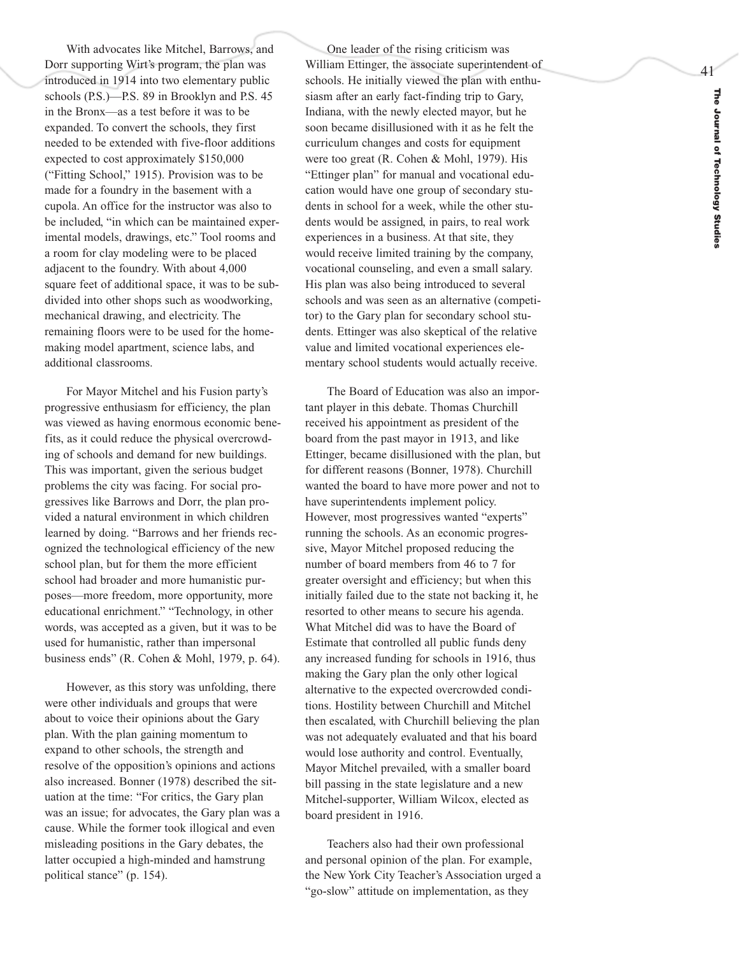With advocates like Mitchel, Barrows, and Dorr supporting Wirt's program, the plan was introduced in 1914 into two elementary public schools (P.S.)—P.S. 89 in Brooklyn and P.S. 45 in the Bronx—as a test before it was to be expanded. To convert the schools, they first needed to be extended with five-floor additions expected to cost approximately \$150,000 ("Fitting School," 1915). Provision was to be made for a foundry in the basement with a cupola. An office for the instructor was also to be included, "in which can be maintained experimental models, drawings, etc." Tool rooms and a room for clay modeling were to be placed adjacent to the foundry. With about 4,000 square feet of additional space, it was to be subdivided into other shops such as woodworking, mechanical drawing, and electricity. The remaining floors were to be used for the homemaking model apartment, science labs, and additional classrooms.

For Mayor Mitchel and his Fusion party's progressive enthusiasm for efficiency, the plan was viewed as having enormous economic benefits, as it could reduce the physical overcrowding of schools and demand for new buildings. This was important, given the serious budget problems the city was facing. For social pro gressives like Barrows and Dorr, the plan provided a natural environment in which children learned by doing. "Barrows and her friends recognized the technological efficiency of the new school plan, but for them the more efficient school had broader and more humanistic pur poses—more freedom, more opportunity, more educational enrichment." "Technology, in other words, was accepted as a given, but it was to be used for humanistic, rather than impersonal business ends" (R. Cohen & Mohl, 1979, p. 64).

However, as this story was unfolding, there were other individuals and groups that were about to voice their opinions about the Gary plan. With the plan gaining momentum to expand to other schools, the strength and resolve of the opposition's opinions and actions also increased. Bonner (1978) described the sit uation at the time: "For critics, the Gary plan was an issue; for advocates, the Gary plan was a cause. While the former took illogical and e ven misleading positions in the Gary debates, the latter occupied a high-minded and hamstrung political stance" (p. 154).

One leader of the rising criticism was William Ettinger, the associate superintendent of schools. He initially viewed the plan with enthusiasm after an early fact-finding trip to Gary, Indiana, with the newly elected mayor, but he soon became disillusioned with it as he felt the curriculum changes and costs for equipment were too great (R. Cohen & Mohl, 1979). His "Ettinger plan" for manual and vocational education would have one group of secondary students in school for a week, while the other students would be assigned, in pairs, to real work experiences in a business. At that site, they would receive limited training by the company, vocational counseling, and even a small salary. His plan was also being introduced to several schools and was seen as an alternative (competitor) to the Gary plan for secondary school students. Ettinger was also skeptical of the relative value and limited vocational experiences elementary school students would actually receive.

The Board of Education was also an important player in this debate. Thomas Churchill recei ved his appointment as president of the board from the past mayor in 1913, and like Ettinger, became disillusioned with the plan, but for different reasons (Bonner, 1978). Churchill wanted the board to have more power and not to have superintendents implement policy. Ho w e ver, most progressives wanted "experts" running the schools. As an economic progressive, Mayor Mitchel proposed reducing the number of board members from 46 to 7 for greater oversight and efficiency; but when this initially failed due to the state not backing it, he resorted to other means to secure his agenda. What Mitchel did was to have the Board of Estimate that controlled all public funds deny any increased funding for schools in 1916, thus making the Gary plan the only other logical alternative to the expected overcrowded conditions. Hostility between Churchill and Mitchel then escalated, with Churchill believing the plan was not adequately evaluated and that his board would lose authority and control. Eventually, Mayor Mitchel prevailed, with a smaller board bill passing in the state legislature and a new Mitchel-supporter, William Wilcox, elected as board president in 1916.

Teachers also had their own professional and personal opinion of the plan. For example, the New York City Teacher's Association urged a "go-slow" attitude on implementation, as they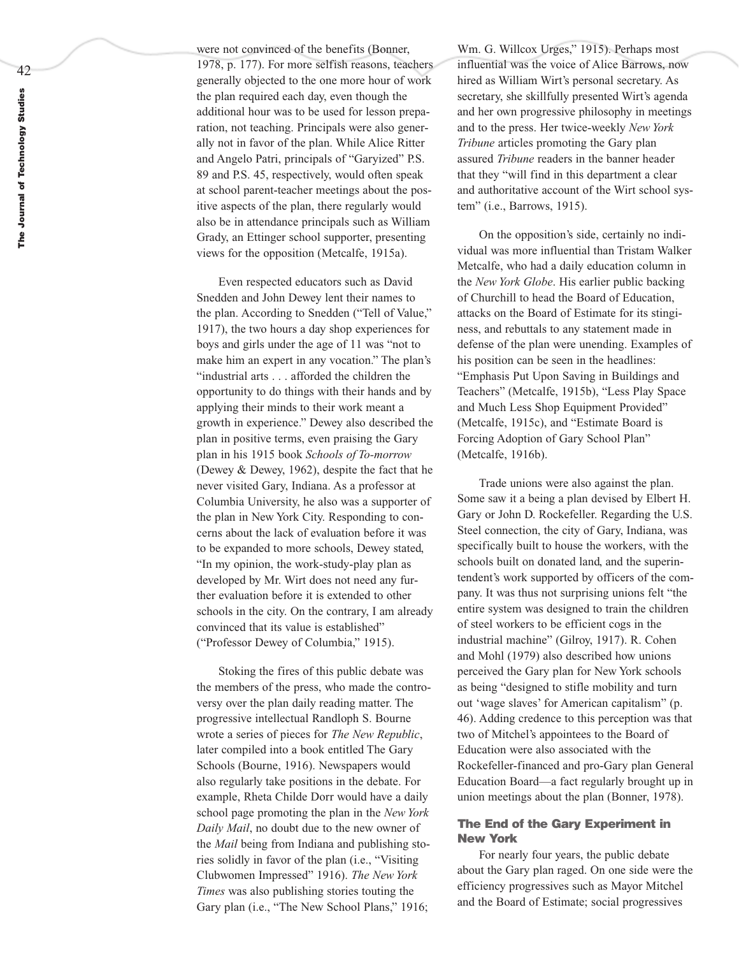were not convinced of the benefits (Bonner, 1978, p. 177). For more selfish reasons, teachers generally objected to the one more hour of work the plan required each day, even though the additional hour was to be used for lesson preparation, not teaching. Principals were also generally not in favor of the plan. While Alice Ritter and Angelo Patri, principals of "Garyized" P.S. 89 and P.S. 45, respectively, would often speak at school parent-teacher meetings about the positive aspects of the plan, there regularly would also be in attendance principals such as William Grady, an Ettinger school supporter, presenting views for the opposition (Metcalfe, 1915a).

Even respected educators such as David Snedden and John Dewey lent their names to the plan. According to Snedden ("Tell of Value," 1917), the two hours a day shop experiences for boys and girls under the age of 11 was "not to make him an expert in any vocation." The plan's "industrial arts . . . afforded the children the opportunity to do things with their hands and by applying their minds to their work meant a growth in experience." Dewey also described the plan in positive terms, even praising the Gary plan in his 1915 book *Schools of To-morrow* (Dewey & Dewey, 1962), despite the fact that he never visited Gary, Indiana. As a professor at Columbia Uni versity, he also was a supporter of the plan in New York City. Responding to con cerns about the lack of evaluation before it was to be expanded to more schools, Dewey stated, "In my opinion, the work-study-play plan as de veloped by Mr. Wirt does not need any further evaluation before it is extended to other schools in the city. On the contrary, I am already convinced that its value is established" ("Professor Dewey of Columbia," 1915).

Stoking the fires of this public debate was the members of the press, who made the controversy over the plan daily reading matter. The progressive intellectual Randloph S. Bourne wrote a series of pieces for *The New Republic* , later compiled into a book entitled The Gar y Schools (Bourne, 1916). Newspapers would also regularly take positions in the debate. For example, Rheta Childe Dorr would have a daily school page promoting the plan in the *New York Daily Mail*, no doubt due to the new owner of the *Mail* being from Indiana and publishing stories solidly in favor of the plan (i.e., "Visiting Clubwomen Impressed" 1916). *The New York Times* was also publishing stories touting the Gary plan (i.e., "The New School Plans," 1916;

Wm. G. Willcox Urges," 1915). Perhaps most influential was the voice of Alice Barrows, now hired as William Wirt's personal secretary. As secretary, she skillfully presented Wirt's agenda and her own progressive philosophy in meetings and to the press. Her twice-weekly *New York Tribune* articles promoting the Gary plan assured *Tribune* readers in the banner header that they "will find in this department a clear and authoritative account of the Wirt school system" (i.e., Barrows, 1915).

On the opposition's side, certainly no individual was more influential than Tristam Walker Metcalfe, who had a daily education column in the *New York Globe*. His earlier public backing of Churchill to head the Board of Education, attacks on the Board of Estimate for its stinginess, and rebuttals to any statement made in defense of the plan were unending. Examples of his position can be seen in the headlines: "Emphasis Put Upon Saving in Buildings and Teachers" (Metcalfe, 1915b), "Less Play Space and Much Less Shop Equipment Provided" (Metcalfe, 1915c), and "Estimate Board is Forcing Adoption of Gary School Plan" (Metcalfe, 1916b).

Trade unions were also against the plan. Some saw it a being a plan devised by Elbert H. Gary or John D. Rockefeller. Regarding the U.S. Steel connection, the city of Gary, Indiana, was specifically built to house the workers, with the schools built on donated land, and the superin tendent's work supported by officers of the company. It was thus not surprising unions felt "the entire system was designed to train the children of steel workers to be efficient cogs in the industrial machine" (Gilroy, 1917). R. Cohen and Mohl (1979) also described how unions perceived the Gary plan for New York schools as being "designed to stifle mobility and turn out 'wage slaves' for American capitalism" (p. 46). Adding credence to this perception was that two of Mitchel's appointees to the Board of Education were also associated with the Rockefeller-financed and pro-Gary plan General Education Board—a fact regularly brought up in union meetings about the plan (Bonner, 1978).

# **The End of the Gary Experiment in New York**

For nearly four years, the public debate about the Gary plan raged. On one side were the efficiency progressives such as Mayor Mitchel and the Board of Estimate; social progressives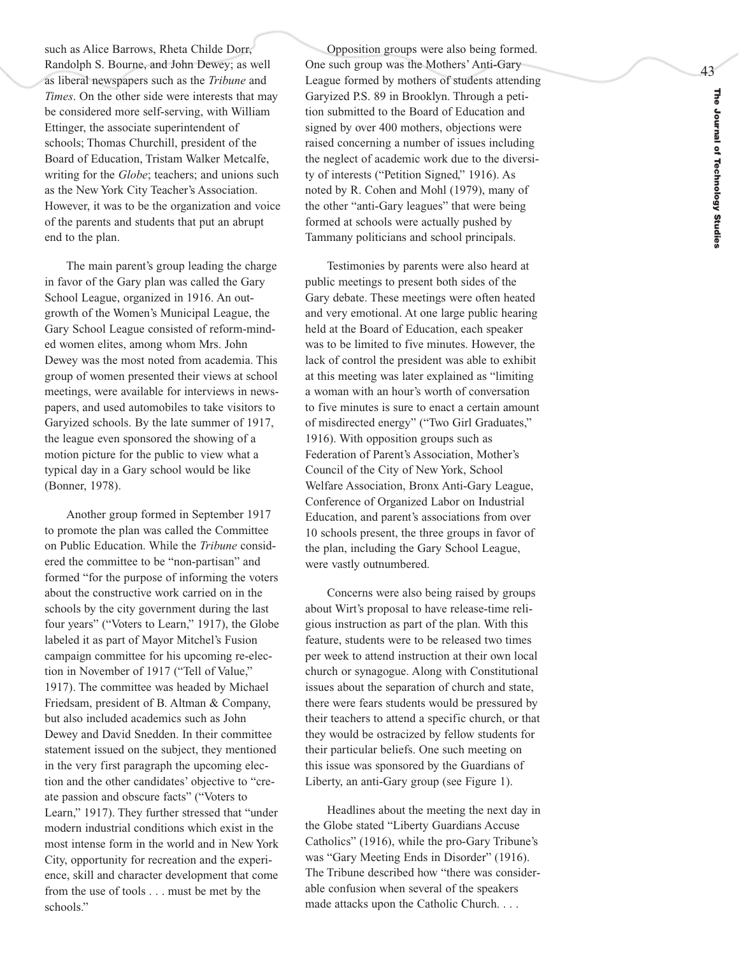The Journal of Technology Studie: **The Journal of Technology Studies**

43

such as Alice Barrows, Rheta Childe Dorr, Randolph S. Bourne, and John Dewey; as well as liberal newspapers such as the *Tribune* and *Times*. On the other side were interests that may be considered more self-serving, with William Ettinger, the associate superintendent of schools; Thomas Churchill, president of the Board of Education, Tristam Walker Metcalfe, writing for the *Globe*; teachers; and unions such as the New York City Teacher's Association. However, it was to be the organization and voice of the parents and students that put an abrupt end to the plan.

The main parent's group leading the charge in favor of the Gary plan was called the Gary School League, organized in 1916. An outgrowth of the Women's Municipal League, the Gary School League consisted of reform-minded women elites, among whom Mrs. John Dewey was the most noted from academia. This group of women presented their views at school meetings, were available for interviews in newspapers, and used automobiles to take visitors to Garyized schools. By the late summer of 1917, the league even sponsored the showing of a motion picture for the public to view what a typical day in a Gary school would be like (Bonner, 1978).

Another group formed in September 1917 to promote the plan was called the Committee on Public Education. While the *Tribune* consid ered the committee to be "non-partisan" and formed "for the purpose of informing the voters about the constructive work carried on in the schools by the city government during the last four years" ("Voters to Learn," 1917), the Globe labeled it as part of Mayor Mitchel's Fusion campaign committee for his upcoming re-election in November of 1917 ("Tell of Value," 1917). The committee was headed by Michael Friedsam, president of B. Altman & Company, but also included academics such as John Dewey and David Snedden. In their committee statement issued on the subject, they mentioned in the very first paragraph the upcoming election and the other candidates' objective to "cre ate passion and obscure facts" ("Voters to Learn," 1917). They further stressed that "under modern industrial conditions which exist in the most intense form in the world and in New York City, opportunity for recreation and the experience, skill and character development that come from the use of tools . . . must be met by the schools."

Opposition groups were also being formed. One such group was the Mothers' Anti-Gary League formed by mothers of students attending Garyized P.S. 89 in Brooklyn. Through a petition submitted to the Board of Education and signed by over 400 mothers, objections were raised concerning a number of issues including the neglect of academic work due to the diversity of interests ("Petition Signed," 1916). As noted by R. Cohen and Mohl (1979), many of the other "anti-Gary leagues" that were being formed at schools were actually pushed by Tammany politicians and school principals.

Testimonies by parents were also heard at public meetings to present both sides of the Gary debate. These meetings were often heated and very emotional. At one large public hearing held at the Board of Education, each speaker was to be limited to five minutes. However, the lack of control the president was able to exhibit at this meeting was later explained as "limiting a woman with an hour's worth of conversation to five minutes is sure to enact a certain amount of misdirected energy" ("Two Girl Graduates," 1916). With opposition groups such as Federation of Parent's Association, Mother's Council of the City of New York, School Welfare Association, Bronx Anti-Gary League, Conference of Or ganized Labor on Industrial Education, and parent's associations from over 10 schools present, the three groups in favor of the plan, including the Gary School League, were vastly outnumbered.

Concerns were also being raised by groups about Wirt's proposal to have release-time religious instruction as part of the plan. With this feature, students were to be released two times per week to attend instruction at their own local church or synagogue. Along with Constitutional issues about the separation of church and state, there were fears students would be pressured by their teachers to attend a specific church, or that they would be ostracized by fellow students for their particular beliefs. One such meeting on this issue was sponsored by the Guardians of Liberty, an anti-Gary group (see Figure 1).

Headlines about the meeting the next day in the Globe stated "Liberty Guardians Accuse Catholics" (1916), while the pro-Gary Tribune's was "Gary Meeting Ends in Disorder" (1916). The Tribune described how "there was considerable confusion when several of the speakers made attacks upon the Catholic Church. . . .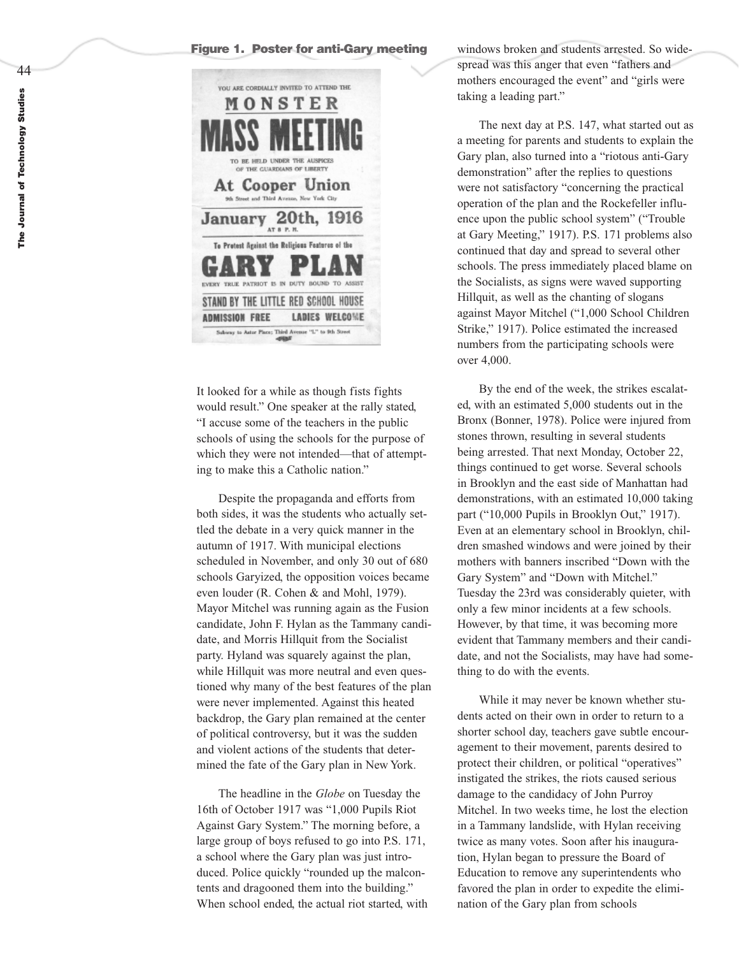### **Figure 1. Poster for anti-Gary meeting**



It looked for a while as though fists fights would result." One speaker at the rally stated, "I accuse some of the teachers in the public schools of using the schools for the purpose of which they were not intended—that of attempting to make this a Catholic nation."

Despite the propaganda and efforts from both sides, it was the students who actually settled the debate in a very quick manner in the autumn of 1917. With municipal elections scheduled in November, and only 30 out of 680 schools Garyized, the opposition voices became even louder (R. Cohen & and Mohl, 1979). Mayor Mitchel was running again as the Fusion candidate, John F. Hylan as the Tammany candidate, and Morris Hillquit from the Socialist party. Hyland was squarely against the plan, while Hillquit was more neutral and even questioned why many of the best features of the plan were never implemented. Against this heated backdrop, the Gary plan remained at the center of political controversy, but it was the sudden and violent actions of the students that deter mined the fate of the Gary plan in New York.

The headline in the *Globe* on Tuesday the 16th of October 1917 was "1,000 Pupils Riot Against Gary System." The morning before, a large group of boys refused to go into P.S. 171, a school where the Gary plan was just introduced. Police quickly "rounded up the malcontents and dragooned them into the building." When school ended, the actual riot started, with windows broken and students arrested. So widespread was this anger that even "fathers and mothers encouraged the event" and "girls were taking a leading part."

The next day at P.S. 147, what started out as a meeting for parents and students to explain the Gary plan, also turned into a "riotous anti-Gary demonstration" after the replies to questions were not satisfactory "concerning the practical operation of the plan and the Rockefeller influence upon the public school system" ("Trouble at Gary Meeting," 1917). P.S. 171 problems also continued that day and spread to several other schools. The press immediately placed blame on the Socialists, as signs were waved supporting Hillquit, as well as the chanting of slogans against Mayor Mitchel ("1,000 School Children Strike," 1917). Police estimated the increased numbers from the participating schools were over 4,000.

By the end of the week, the strikes escalated, with an estimated 5,000 students out in the Bronx (Bonner, 1978). Police were injured from stones thrown, resulting in se veral students being arrested. That next Monday, October 22, things continued to get worse. Several schools in Brooklyn and the east side of Manhattan had demonstrations, with an estimated 10,000 taking part ("10,000 Pupils in Brooklyn Out," 1917). Even at an elementary school in Brooklyn, chil dren smashed windows and were joined by their mothers with banners inscribed "Down with the Gary System" and "Down with Mitchel." Tuesday the 23rd was considerably quieter, with only a few minor incidents at a few schools. However, by that time, it was becoming more evident that Tammany members and their candidate, and not the Socialists, may have had something to do with the events.

While it may ne ver be known whether students acted on their own in order to return to a shorter school day, teachers gave subtle encouragement to their movement, parents desired to protect their children, or political "operatives" instigated the strikes, the riots caused serious damage to the candidacy of John Purroy Mitchel. In two weeks time, he lost the election in a Tammany landslide, with Hylan receiving twice as many votes. Soon after his inauguration, Hylan began to pressure the Board of Education to remove any superintendents who favored the plan in order to expedite the elimination of the Gary plan from schools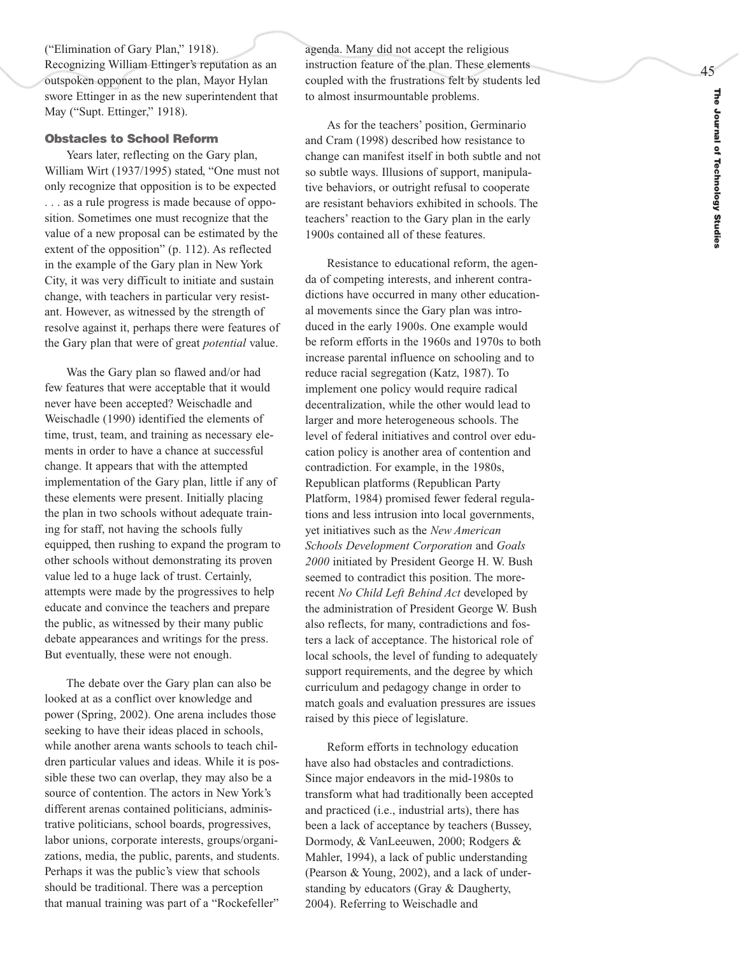45

("Elimination of Gary Plan," 1918). Recognizing William Ettinger's reputation as an outspoken opponent to the plan, Mayor Hylan swore Ettinger in as the new superintendent that May ("Supt. Ettinger," 1918).

# **Obstacles to School Reform**

Years later, reflecting on the Gary plan, William Wirt (1937/1995) stated, "One must not only recognize that opposition is to be expected . . . as a rule progress is made because of opposition. Sometimes one must recognize that the value of a new proposal can be estimated by the extent of the opposition" (p. 112). As reflected in the example of the Gary plan in New York City, it was very difficult to initiate and sustain change, with teachers in particular very resistant. However, as witnessed by the strength of resolve against it, perhaps there were features of the Gary plan that were of great *potential* value. Was the Gary plan so flawed and/or had

few features that were acceptable that it would never have been accepted? Weischadle and Weischadle (1990) identified the elements of time, trust, team, and training as necessary elements in order to have a chance at successful change. It appears that with the attempted implementation of the Gary plan, little if any of these elements were present. Initially placing the plan in two schools without adequate train ing for staff, not having the schools fully equipped, then rushing to expand the program to other schools without demonstrating its proven value led to a huge lack of trust. Certainly, attempts were made by the progressives to help educate and convince the teachers and prepare the public, as witnessed by their many public debate appearances and writings for the press. But e ventually, these were not enough.

The debate over the Gary plan can also be looked at as a conflict over knowledge and power (Spring, 2002). One arena includes those seeking to have their ideas placed in schools, while another arena wants schools to teach children particular values and ideas. While it is possible these two can overlap, they may also be a source of contention. The actors in New York's different arenas contained politicians, adminis trative politicians, school boards, progressives, labor unions, corporate interests, groups/organizations, media, the public, parents, and students. Perhaps it was the public's view that schools should be traditional. There was a perception that manual training was part of a "Rockefeller"

agenda. Many did not accept the religious instruction feature of the plan. These elements coupled with the frustrations felt by students led to almost insurmountable problems.

As for the teachers' position, Germinario and Cram (1998) described how resistance to change can manifest itself in both subtle and not so subtle ways. Illusions of support, manipulative behaviors, or outright refusal to cooperate are resistant behaviors exhibited in schools. The teachers' reaction to the Gary plan in the early 1900s contained all of these features.

Resistance to educational reform, the agenda of competing interests, and inherent contradictions have occurred in many other educational movements since the Gary plan was introduced in the early 1900s. One example would be reform efforts in the 1960s and 1970s to both increase parental influence on schooling and to reduce racial segregation (Katz, 1987). To implement one policy would require radical decentralization, while the other would lead to larger and more heterogeneous schools. The level of federal initiatives and control over education policy is another area of contention and contradiction. For example, in the 1980s, Republican platforms (Republican Party Platform, 1984) promised fe wer federal regula tions and less intrusion into local governments, yet initiatives such as the *New American Schools Development Corporation* and *Goals 2000* initiated by President George H. W. Bush seemed to contradict this position. The morerecent *No Child Left Behind Act* developed by the administration of President George W. Bush also reflects, for many, contradictions and fosters a lack of acceptance. The historical role of local schools, the level of funding to adequately support requirements, and the degree by which curriculum and pedagogy change in order to match goals and evaluation pressures are issues raised by this piece of legislature.

Reform efforts in technology education have also had obstacles and contradictions. Since major endeavors in the mid-1980s to transform what had traditionally been accepted and practiced (i.e., industrial arts), there has been a lack of acceptance by teachers (Bussey, Dormody, & VanLeeuwen, 2000; Rodgers & Mahler, 1994), a lack of public understanding (Pearson & Young, 2002), and a lack of understanding by educators (Gray & Daugherty, 2004). Referring to Weischadle and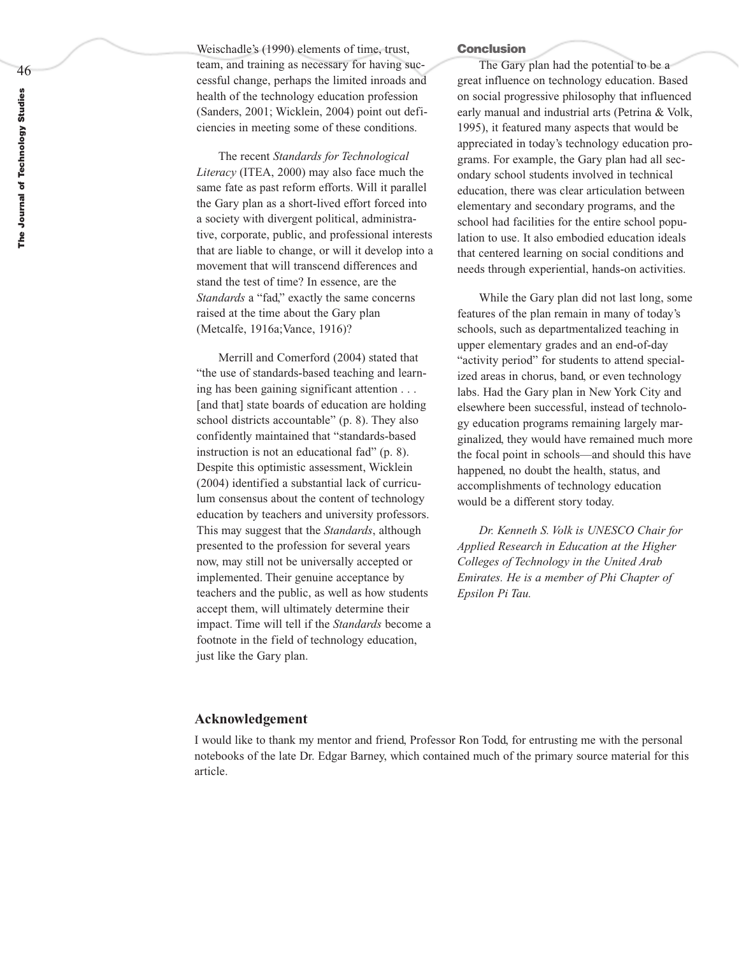Weischadle's (1990) elements of time, trust, team, and training as necessary for having successful change, perhaps the limited inroads and health of the technology education profession (Sanders, 2001; Wicklein, 2004) point out deficiencies in meeting some of these conditions.

The recent *Standards for Technological Literacy* (ITEA, 2000) may also face much the same fate as past reform efforts. Will it parallel the Gary plan as a short-lived effort forced into a society with divergent political, administrative, corporate, public, and professional interests that are liable to change, or will it develop into a movement that will transcend differences and stand the test of time? In essence, are the *Standards* a "fad," exactly the same concerns raised at the time about the Gary plan (Metcalfe, 1916a;Vance, 1916)?

Merrill and Comerford (2004) stated that "the use of standards-based teaching and learning has been gaining significant attention . . . [and that] state boards of education are holding school districts accountable" (p. 8). They also confidently maintained that "standards-based instruction is not an educational fad" (p. 8). Despite this optimistic assessment, Wicklein (2004) identified a substantial lack of curriculum consensus about the content of technology education by teachers and university professors. This may suggest that the *Standards*, although presented to the profession for se veral years no w, may still not be uni versally accepted or implemented. Their genuine acceptance by teachers and the public, as well as how students accept them, will ultimately determine their impact. Time will tell if the *Standards* become a footnote in the field of technology education, just like the Gary plan.

#### **Conclusion**

The Gary plan had the potential to be a great influence on technology education. Based on social progressive philosophy that influenced early manual and industrial arts (Petrina & Volk, 1995), it featured many aspects that would be appreciated in today's technology education programs. For example, the Gary plan had all secondary school students involved in technical education, there was clear articulation between elementary and secondary programs, and the school had facilities for the entire school population to use. It also embodied education ideals that centered learning on social conditions and needs through experiential, hands-on activities.

While the Gary plan did not last long, some features of the plan remain in many of today's schools, such as departmentalized teaching in upper elementary grades and an end-of-day "activity period" for students to attend specialized areas in chorus, band, or even technology labs. Had the Gary plan in New York City and elsewhere been successful, instead of technology education programs remaining largely marginalized, they would have remained much more the focal point in schools—and should this have happened, no doubt the health, status, and accomplishments of technology education would be a different story today.

*Dr. Kenneth S. Volk is UNESCO Chair for Applied Research in Education at the Higher Colleges of Technology in the United Arab Emirates. He is a member of Phi Chapter of Epsilon Pi Tau.* 

# **Acknowledgement**

I would like to thank my mentor and friend, Professor Ron Todd, for entrusting me with the personal notebooks of the late Dr. Edgar Barney, which contained much of the primary source material for this article.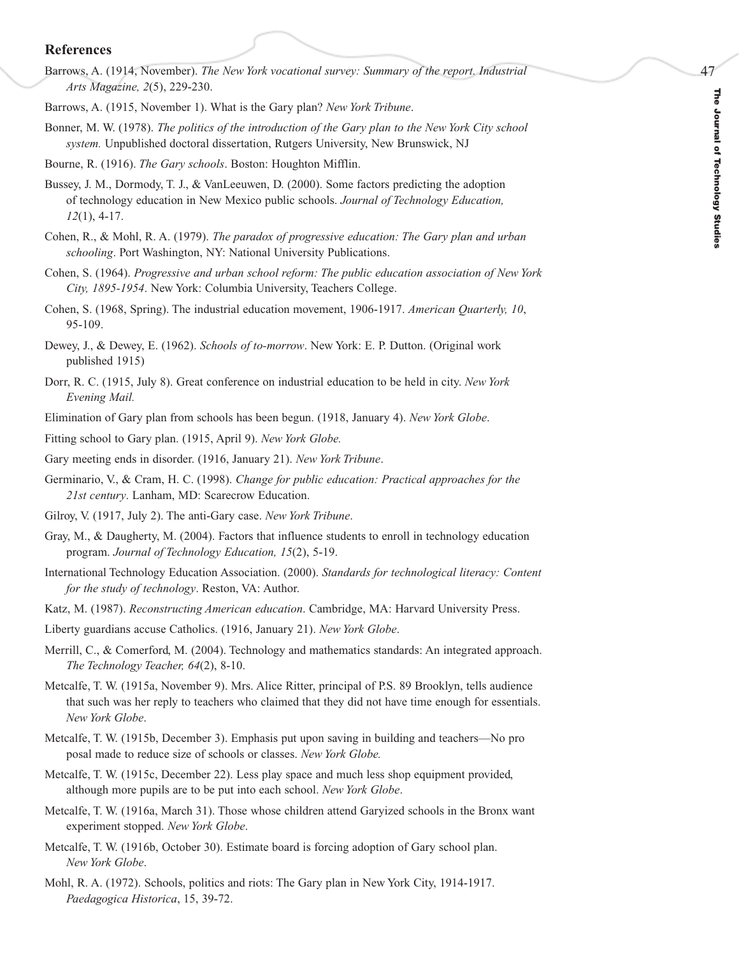# The Journal of Technology Studies **The Journal of Technology Studies**

47

# **References**

- Barrows, A. (1914, November). *The New York vocational survey: Summary of the report. Industrial Arts Magazine, 2*(5), 229-230.
- Barrows, A. (1915, November 1). What is the Gary plan? *New York Tribune*.
- Bonner, M. W. (1978). *The politics of the introduction of the Gary plan to the New York City school system.* Unpublished doctoral dissertation, Rutgers University, New Brunswick, NJ
- Bourne, R. (1916). *The Gary schools*. Boston: Houghton Mifflin.
- Bussey, J. M., Dormody, T. J., & VanLeeuwen, D. (2000). Some factors predicting the adoption of technology education in New Mexico public schools. *Journal of Technology Education, 12*(1), 4-17.
- Cohen, R., & Mohl, R. A. (1979). *The paradox of progressive education: The Gary plan and urban schooling*. Port Washington, NY: National University Publications.
- Cohen, S. (1964). *Progressive and urban school reform: The public education association of New York City, 1895-1954*. New York: Columbia University, Teachers College.
- Cohen, S. (1968, Spring). The industrial education movement, 1906-1917. *American Quarterly, 10*, 95-109.
- Dewey, J., & Dewey, E. (1962). *Schools of to-morrow*. New York: E. P. Dutton. (Original work published 1915)
- Dorr, R. C. (1915, July 8). Great conference on industrial education to be held in city. *New York Evening Mail.*
- Elimination of Gary plan from schools has been begun. (1918, January 4). *New York Globe*.
- Fitting school to Gary plan. (1915, April 9). *New York Globe.*
- Gary meeting ends in disorder. (1916, January 21). *New York Tribune*.
- Germinario, V., & Cram, H. C. (1998). *Change for public education: Practical approaches for the 21st century*. Lanham, MD: Scarecrow Education.
- Gilroy, V. (1917, July 2). The anti-Gary case. *New York Tribune*.
- Gray, M., & Daugherty, M. (2004). Factors that influence students to enroll in technology education program. *Journal of Technology Education, 15*(2), 5-19.
- International Technology Education Association. (2000). *Standards for technological literacy: Content for the study of technology*. Reston, VA: Author.
- Katz, M. (1987). *Reconstructing American education*. Cambridge, MA: Harvard University Press.
- Liberty guardians accuse Catholics. (1916, January 21). *New York Globe*.
- Merrill, C., & Comerford, M. (2004). Technology and mathematics standards: An integrated approach. *The Technology Teacher, 64*(2), 8-10.
- Metcalfe, T. W. (1915a, November 9). Mrs. Alice Ritter, principal of P.S. 89 Brooklyn, tells audience that such was her reply to teachers who claimed that they did not have time enough for essentials. *New York Globe*.
- Metcalfe, T. W. (1915b, December 3). Emphasis put upon saving in building and teachers—No pro posal made to reduce size of schools or classes. *New York Globe.*
- Metcalfe, T. W. (1915c, December 22). Less play space and much less shop equipment provided, although more pupils are to be put into each school. *New York Globe*.
- Metcalfe, T. W. (1916a, March 31). Those whose children attend Garyized schools in the Bronx want experiment stopped. *New York Globe*.
- Metcalfe, T. W. (1916b, October 30). Estimate board is forcing adoption of Gary school plan. *New York Globe*.
- Mohl, R. A. (1972). Schools, politics and riots: The Gary plan in New York City, 1914-1917. *Paedagogica Historica*, 15, 39-72.